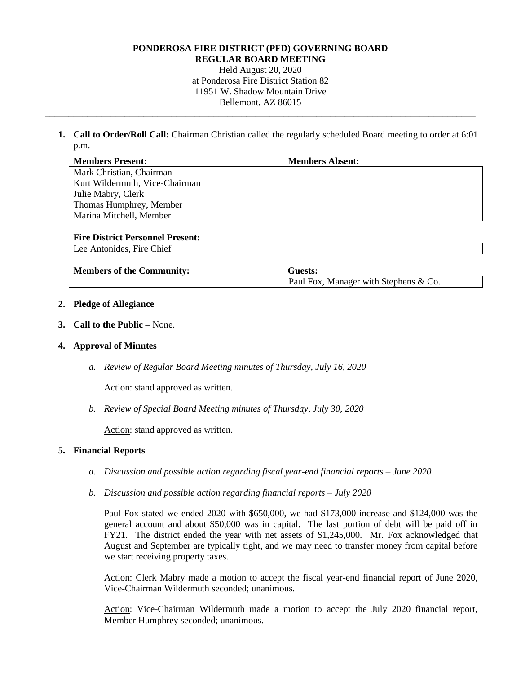#### **PONDEROSA FIRE DISTRICT (PFD) GOVERNING BOARD REGULAR BOARD MEETING**

Held August 20, 2020 at Ponderosa Fire District Station 82 11951 W. Shadow Mountain Drive Bellemont, AZ 86015

\_\_\_\_\_\_\_\_\_\_\_\_\_\_\_\_\_\_\_\_\_\_\_\_\_\_\_\_\_\_\_\_\_\_\_\_\_\_\_\_\_\_\_\_\_\_\_\_\_\_\_\_\_\_\_\_\_\_\_\_\_\_\_\_\_\_\_\_\_\_\_\_\_\_\_\_\_\_\_\_\_\_\_\_\_\_\_\_\_\_\_\_

**1. Call to Order/Roll Call:** Chairman Christian called the regularly scheduled Board meeting to order at 6:01 p.m.

| <b>Members Present:</b>        | <b>Members Absent:</b> |
|--------------------------------|------------------------|
| Mark Christian, Chairman       |                        |
| Kurt Wildermuth, Vice-Chairman |                        |
| Julie Mabry, Clerk             |                        |
| Thomas Humphrey, Member        |                        |
| Marina Mitchell, Member        |                        |

| <b>Fire District Personnel Present:</b> |
|-----------------------------------------|
|-----------------------------------------|

Lee Antonides, Fire Chief

| <b>Members of the Community:</b> | 'Tuests:                              |
|----------------------------------|---------------------------------------|
|                                  | Paul Fox, Manager with Stephens & Co. |

# **2. Pledge of Allegiance**

**3. Call to the Public –** None.

## **4. Approval of Minutes**

*a. Review of Regular Board Meeting minutes of Thursday, July 16, 2020*

Action: stand approved as written.

*b. Review of Special Board Meeting minutes of Thursday, July 30, 2020*

Action: stand approved as written.

## **5. Financial Reports**

- *a. Discussion and possible action regarding fiscal year-end financial reports – June 2020*
- *b. Discussion and possible action regarding financial reports – July 2020*

Paul Fox stated we ended 2020 with \$650,000, we had \$173,000 increase and \$124,000 was the general account and about \$50,000 was in capital. The last portion of debt will be paid off in FY21. The district ended the year with net assets of \$1,245,000. Mr. Fox acknowledged that August and September are typically tight, and we may need to transfer money from capital before we start receiving property taxes.

Action: Clerk Mabry made a motion to accept the fiscal year-end financial report of June 2020, Vice-Chairman Wildermuth seconded; unanimous.

Action: Vice-Chairman Wildermuth made a motion to accept the July 2020 financial report, Member Humphrey seconded; unanimous.